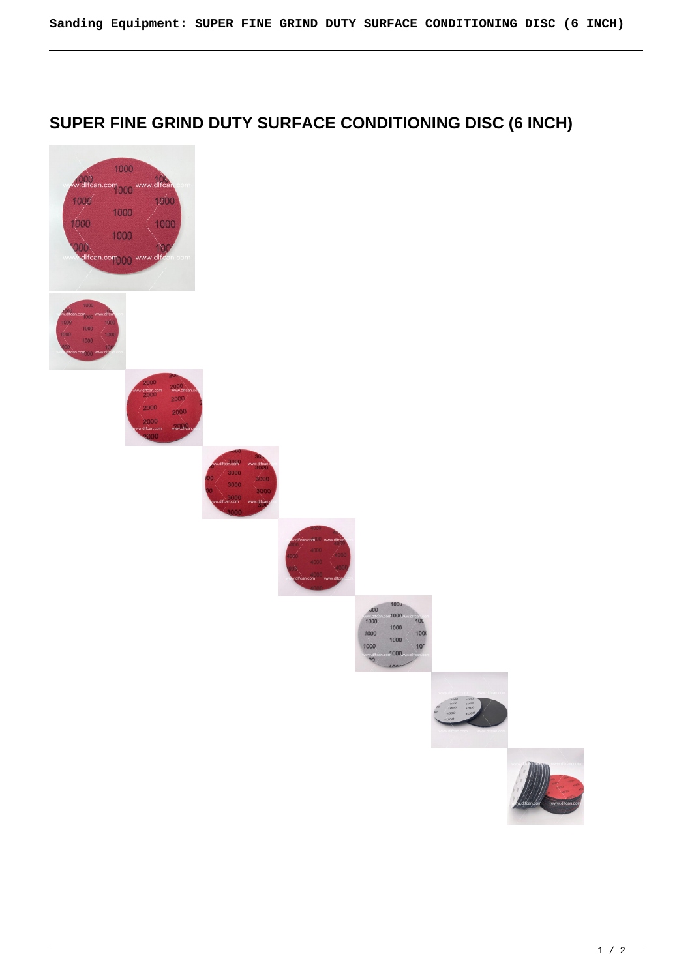## **SUPER FINE GRIND DUTY SURFACE CONDITIONING DISC (6 INCH)**